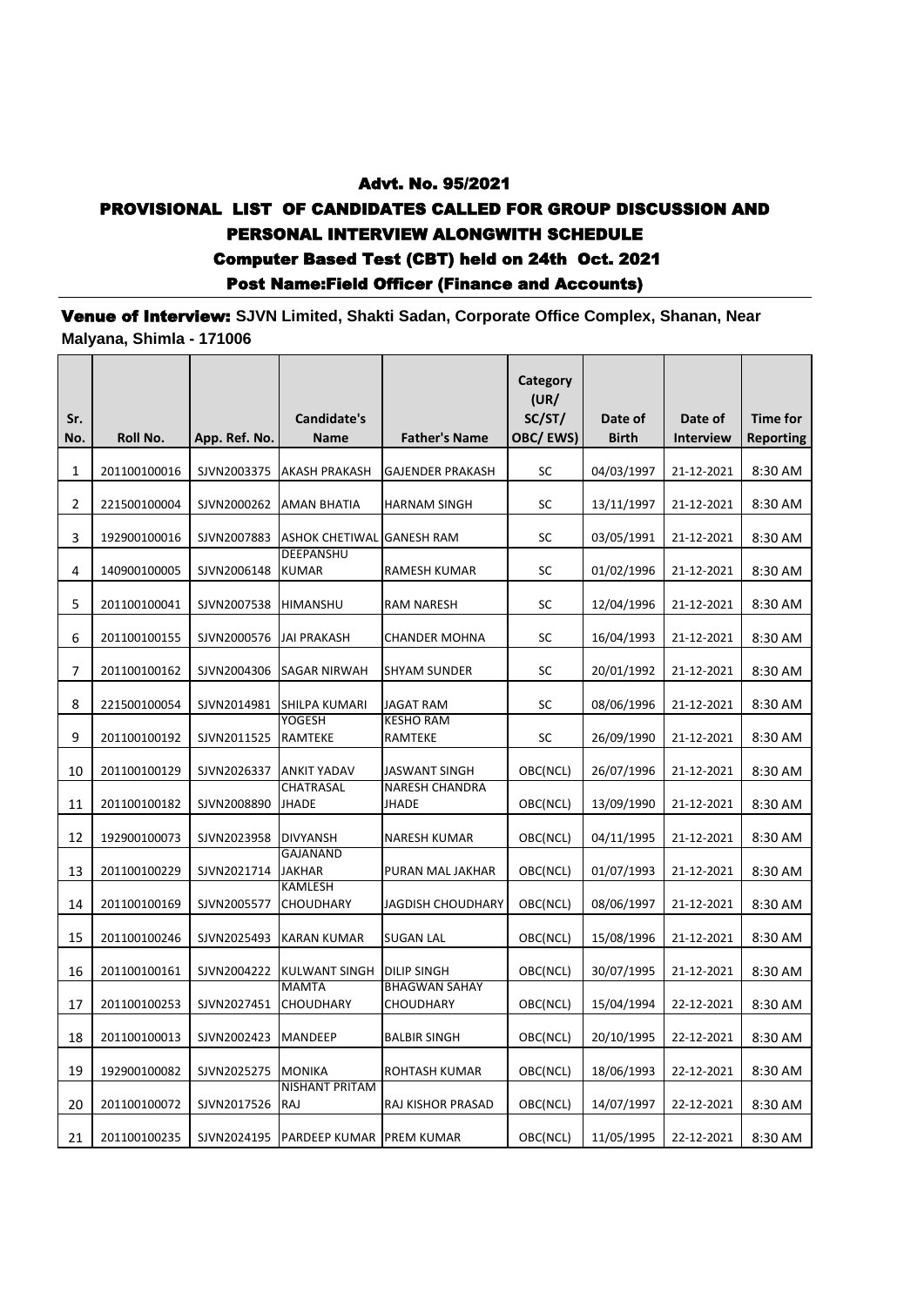## Advt. No. 95/2021 PROVISIONAL LIST OF CANDIDATES CALLED FOR GROUP DISCUSSION AND PERSONAL INTERVIEW ALONGWITH SCHEDULE Computer Based Test (CBT) held on 24th Oct. 2021 Post Name:Field Officer (Finance and Accounts)

Venue of Interview: **SJVN Limited, Shakti Sadan, Corporate Office Complex, Shanan, Near Malyana, Shimla - 171006**

| Sr. |              |               | Candidate's                      |                                       | Category<br>(UR)<br>SC/ST/ | Date of      | Date of          | <b>Time for</b>  |
|-----|--------------|---------------|----------------------------------|---------------------------------------|----------------------------|--------------|------------------|------------------|
| No. | Roll No.     | App. Ref. No. | Name                             | <b>Father's Name</b>                  | OBC/EWS)                   | <b>Birth</b> | <b>Interview</b> | <b>Reporting</b> |
| 1   | 201100100016 | SJVN2003375   | AKASH PRAKASH                    | <b>GAJENDER PRAKASH</b>               | SC                         | 04/03/1997   | 21-12-2021       | 8:30 AM          |
| 2   | 221500100004 | SJVN2000262   | AMAN BHATIA                      | HARNAM SINGH                          | SC                         | 13/11/1997   | 21-12-2021       | 8:30 AM          |
| 3   | 192900100016 | SJVN2007883   | <b>ASHOK CHETIWAL</b>            | <b>GANESH RAM</b>                     | SC                         | 03/05/1991   | 21-12-2021       | 8:30 AM          |
| 4   | 140900100005 | SJVN2006148   | <b>DEEPANSHU</b><br><b>KUMAR</b> | RAMESH KUMAR                          | SC                         | 01/02/1996   | 21-12-2021       | 8:30 AM          |
| 5   | 201100100041 | SJVN2007538   | HIMANSHU                         | <b>RAM NARESH</b>                     | SC                         | 12/04/1996   | 21-12-2021       | 8:30 AM          |
| 6   | 201100100155 | SJVN2000576   | <b>JAI PRAKASH</b>               | <b>CHANDER MOHNA</b>                  | SC                         | 16/04/1993   | 21-12-2021       | 8:30 AM          |
| 7   | 201100100162 | SJVN2004306   | <b>SAGAR NIRWAH</b>              | <b>SHYAM SUNDER</b>                   | SC                         | 20/01/1992   | 21-12-2021       | 8:30 AM          |
| 8   | 221500100054 | SJVN2014981   | SHILPA KUMARI                    | JAGAT RAM                             | SC                         | 08/06/1996   | 21-12-2021       | 8:30 AM          |
| 9   | 201100100192 | SJVN2011525   | <b>YOGESH</b><br>RAMTEKE         | <b>KESHO RAM</b><br>RAMTEKE           | SC                         | 26/09/1990   | 21-12-2021       | 8:30 AM          |
| 10  | 201100100129 | SJVN2026337   | <b>ANKIT YADAV</b>               | JASWANT SINGH                         | OBC(NCL)                   | 26/07/1996   | 21-12-2021       | 8:30 AM          |
| 11  | 201100100182 | SJVN2008890   | <b>CHATRASAL</b><br><b>JHADE</b> | <b>NARESH CHANDRA</b><br><b>JHADE</b> | OBC(NCL)                   | 13/09/1990   | 21-12-2021       | 8:30 AM          |
| 12  | 192900100073 | SJVN2023958   | <b>DIVYANSH</b>                  | NARESH KUMAR                          | OBC(NCL)                   | 04/11/1995   | 21-12-2021       | 8:30 AM          |
| 13  | 201100100229 | SJVN2021714   | <b>GAJANAND</b><br><b>JAKHAR</b> | PURAN MAL JAKHAR                      | OBC(NCL)                   | 01/07/1993   | 21-12-2021       | 8:30 AM          |
| 14  | 201100100169 | SJVN2005577   | KAMLESH<br><b>CHOUDHARY</b>      | JAGDISH CHOUDHARY                     | OBC(NCL)                   | 08/06/1997   | 21-12-2021       | 8:30 AM          |
| 15  | 201100100246 | SJVN2025493   | KARAN KUMAR                      | SUGAN LAL                             | OBC(NCL)                   | 15/08/1996   | 21-12-2021       | 8:30 AM          |
| 16  | 201100100161 | SJVN2004222   | <b>KULWANT SINGH</b>             | <b>DILIP SINGH</b>                    | OBC(NCL)                   | 30/07/1995   | 21-12-2021       | 8:30 AM          |
| 17  | 201100100253 | SJVN2027451   | <b>MAMTA</b><br>CHOUDHARY        | <b>BHAGWAN SAHAY</b><br>CHOUDHARY     | OBC(NCL)                   | 15/04/1994   | 22-12-2021       | 8:30 AM          |
| 18  | 201100100013 | SJVN2002423   | MANDEEP                          | <b>BALBIR SINGH</b>                   | OBC(NCL)                   | 20/10/1995   | 22-12-2021       | 8:30 AM          |
| 19  | 192900100082 | SJVN2025275   | <b>MONIKA</b>                    | ROHTASH KUMAR                         | OBC(NCL)                   | 18/06/1993   | 22-12-2021       | 8:30 AM          |
| 20  | 201100100072 | SJVN2017526   | NISHANT PRITAM<br>RAJ            | RAJ KISHOR PRASAD                     | OBC(NCL)                   | 14/07/1997   | 22-12-2021       | 8:30 AM          |
| 21  | 201100100235 | SJVN2024195   | <b>PARDEEP KUMAR PREM KUMAR</b>  |                                       | OBC(NCL)                   | 11/05/1995   | 22-12-2021       | 8:30 AM          |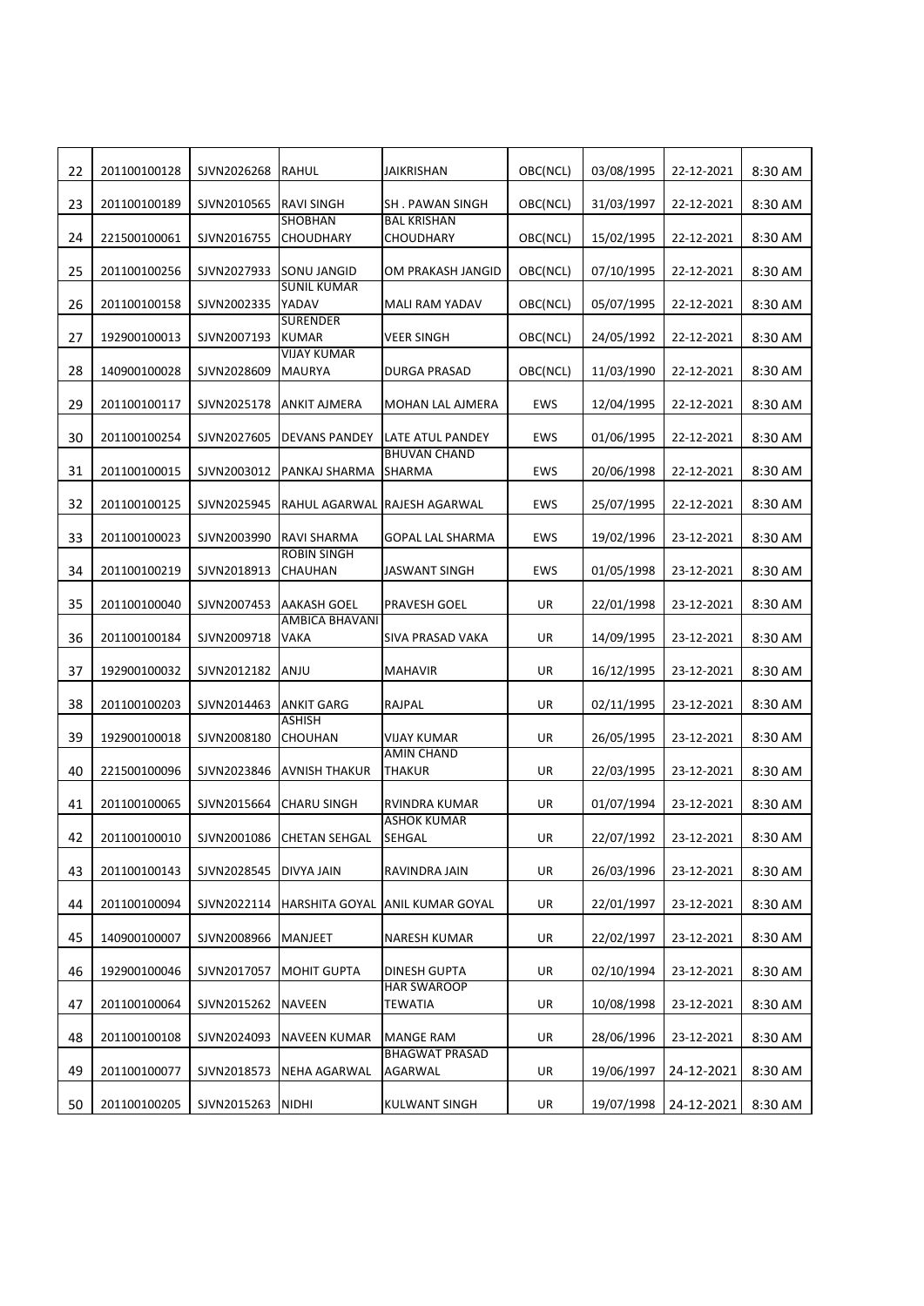| 22 | 201100100128 | SJVN2026268 | RAHUL                           | <b>JAIKRISHAN</b>                         | OBC(NCL) | 03/08/1995 | 22-12-2021 | 8:30 AM |
|----|--------------|-------------|---------------------------------|-------------------------------------------|----------|------------|------------|---------|
| 23 | 201100100189 | SJVN2010565 | RAVI SINGH                      | <b>SH. PAWAN SINGH</b>                    | OBC(NCL) | 31/03/1997 | 22-12-2021 | 8:30 AM |
| 24 | 221500100061 | SJVN2016755 | <b>SHOBHAN</b><br>CHOUDHARY     | <b>BAL KRISHAN</b><br><b>CHOUDHARY</b>    | OBC(NCL) | 15/02/1995 | 22-12-2021 | 8:30 AM |
| 25 | 201100100256 | SJVN2027933 | SONU JANGID                     | OM PRAKASH JANGID                         | OBC(NCL) | 07/10/1995 | 22-12-2021 | 8:30 AM |
| 26 | 201100100158 | SJVN2002335 | <b>SUNIL KUMAR</b><br>YADAV     | MALI RAM YADAV                            | OBC(NCL) | 05/07/1995 | 22-12-2021 | 8:30 AM |
| 27 | 192900100013 | SJVN2007193 | <b>SURENDER</b><br><b>KUMAR</b> | VEER SINGH                                | OBC(NCL) | 24/05/1992 | 22-12-2021 | 8:30 AM |
| 28 | 140900100028 | SJVN2028609 | <b>VIJAY KUMAR</b><br>MAURYA    | <b>DURGA PRASAD</b>                       | OBC(NCL) | 11/03/1990 | 22-12-2021 | 8:30 AM |
| 29 | 201100100117 | SJVN2025178 | ANKIT AJMERA                    | MOHAN LAL AJMERA                          | EWS      | 12/04/1995 | 22-12-2021 | 8:30 AM |
|    |              |             |                                 |                                           |          |            |            |         |
| 30 | 201100100254 | SJVN2027605 | <b>DEVANS PANDEY</b>            | LATE ATUL PANDEY<br><b>BHUVAN CHAND</b>   | EWS      | 01/06/1995 | 22-12-2021 | 8:30 AM |
| 31 | 201100100015 | SJVN2003012 | PANKAJ SHARMA                   | <b>SHARMA</b>                             | EWS      | 20/06/1998 | 22-12-2021 | 8:30 AM |
| 32 | 201100100125 | SJVN2025945 |                                 | RAHUL AGARWAL RAJESH AGARWAL              | EWS      | 25/07/1995 | 22-12-2021 | 8:30 AM |
| 33 | 201100100023 | SJVN2003990 | RAVI SHARMA                     | <b>GOPAL LAL SHARMA</b>                   | EWS      | 19/02/1996 | 23-12-2021 | 8:30 AM |
| 34 | 201100100219 | SJVN2018913 | <b>ROBIN SINGH</b><br>CHAUHAN   | <b>JASWANT SINGH</b>                      | EWS      | 01/05/1998 | 23-12-2021 | 8:30 AM |
| 35 | 201100100040 | SJVN2007453 | AAKASH GOEL                     | PRAVESH GOEL                              | UR       | 22/01/1998 | 23-12-2021 | 8:30 AM |
| 36 | 201100100184 | SJVN2009718 | AMBICA BHAVANI<br>VAKA          | SIVA PRASAD VAKA                          | UR       | 14/09/1995 | 23-12-2021 | 8:30 AM |
| 37 | 192900100032 | SJVN2012182 | ANJU                            | <b>MAHAVIR</b>                            | UR       | 16/12/1995 | 23-12-2021 | 8:30 AM |
| 38 | 201100100203 | SJVN2014463 | ANKIT GARG                      | RAJPAL                                    | UR       | 02/11/1995 | 23-12-2021 | 8:30 AM |
| 39 | 192900100018 | SJVN2008180 | ASHISH<br>CHOUHAN               | VIJAY KUMAR                               | UR       | 26/05/1995 | 23-12-2021 | 8:30 AM |
| 40 | 221500100096 | SJVN2023846 | AVNISH THAKUR                   | <b>AMIN CHAND</b><br><b>THAKUR</b>        | UR       | 22/03/1995 | 23-12-2021 | 8:30 AM |
| 41 | 201100100065 | SJVN2015664 | CHARU SINGH                     | RVINDRA KUMAR                             | UR       | 01/07/1994 | 23-12-2021 | 8:30 AM |
| 42 | 201100100010 |             | SJVN2001086 CHETAN SEHGAL       | <b>ASHOK KUMAR</b><br><b>SEHGAL</b>       | UR       | 22/07/1992 | 23-12-2021 | 8:30 AM |
| 43 | 201100100143 | SJVN2028545 | DIVYA JAIN                      | RAVINDRA JAIN                             | UR       | 26/03/1996 | 23-12-2021 | 8:30 AM |
| 44 | 201100100094 | SJVN2022114 | HARSHITA GOYAL                  | ANIL KUMAR GOYAL                          | UR       | 22/01/1997 | 23-12-2021 | 8:30 AM |
| 45 | 140900100007 | SJVN2008966 | MANJEET                         | NARESH KUMAR                              | UR       | 22/02/1997 | 23-12-2021 | 8:30 AM |
| 46 | 192900100046 | SJVN2017057 | MOHIT GUPTA                     | DINESH GUPTA                              | UR       | 02/10/1994 | 23-12-2021 | 8:30 AM |
| 47 | 201100100064 | SJVN2015262 | NAVEEN                          | <b>HAR SWAROOP</b><br>TEWATIA             | UR       | 10/08/1998 | 23-12-2021 | 8:30 AM |
|    |              |             |                                 |                                           |          |            |            |         |
| 48 | 201100100108 | SJVN2024093 | NAVEEN KUMAR                    | <b>MANGE RAM</b><br><b>BHAGWAT PRASAD</b> | UR       | 28/06/1996 | 23-12-2021 | 8:30 AM |
| 49 | 201100100077 | SJVN2018573 | NEHA AGARWAL                    | AGARWAL                                   | UR       | 19/06/1997 | 24-12-2021 | 8:30 AM |
| 50 | 201100100205 | SJVN2015263 | NIDHI                           | KULWANT SINGH                             | UR       | 19/07/1998 | 24-12-2021 | 8:30 AM |